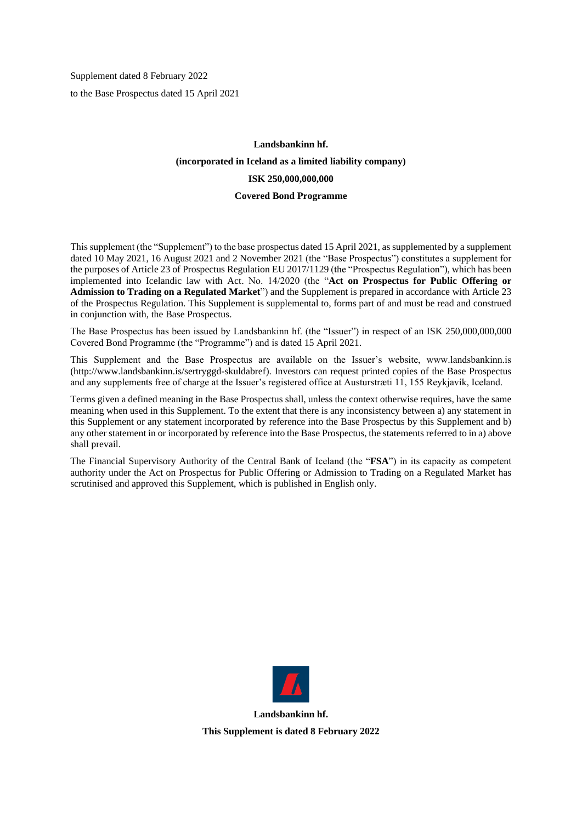Supplement dated 8 February 2022 to the Base Prospectus dated 15 April 2021

## **Landsbankinn hf. (incorporated in Iceland as a limited liability company) ISK 250,000,000,000 Covered Bond Programme**

This supplement (the "Supplement") to the base prospectus dated 15 April 2021, as supplemented by a supplement dated 10 May 2021, 16 August 2021 and 2 November 2021 (the "Base Prospectus") constitutes a supplement for the purposes of Article 23 of Prospectus Regulation EU 2017/1129 (the "Prospectus Regulation"), which has been implemented into Icelandic law with Act. No. 14/2020 (the "**Act on Prospectus for Public Offering or Admission to Trading on a Regulated Market**") and the Supplement is prepared in accordance with Article 23 of the Prospectus Regulation. This Supplement is supplemental to, forms part of and must be read and construed in conjunction with, the Base Prospectus.

The Base Prospectus has been issued by Landsbankinn hf. (the "Issuer") in respect of an ISK 250,000,000,000 Covered Bond Programme (the "Programme") and is dated 15 April 2021.

This Supplement and the Base Prospectus are available on the Issuer's website, www.landsbankinn.is (http://www.landsbankinn.is/sertryggd-skuldabref). Investors can request printed copies of the Base Prospectus and any supplements free of charge at the Issuer's registered office at Austurstræti 11, 155 Reykjavík, Iceland.

Terms given a defined meaning in the Base Prospectus shall, unless the context otherwise requires, have the same meaning when used in this Supplement. To the extent that there is any inconsistency between a) any statement in this Supplement or any statement incorporated by reference into the Base Prospectus by this Supplement and b) any other statement in or incorporated by reference into the Base Prospectus, the statements referred to in a) above shall prevail.

The Financial Supervisory Authority of the Central Bank of Iceland (the "**FSA**") in its capacity as competent authority under the Act on Prospectus for Public Offering or Admission to Trading on a Regulated Market has scrutinised and approved this Supplement, which is published in English only.



**Landsbankinn hf. This Supplement is dated 8 February 2022**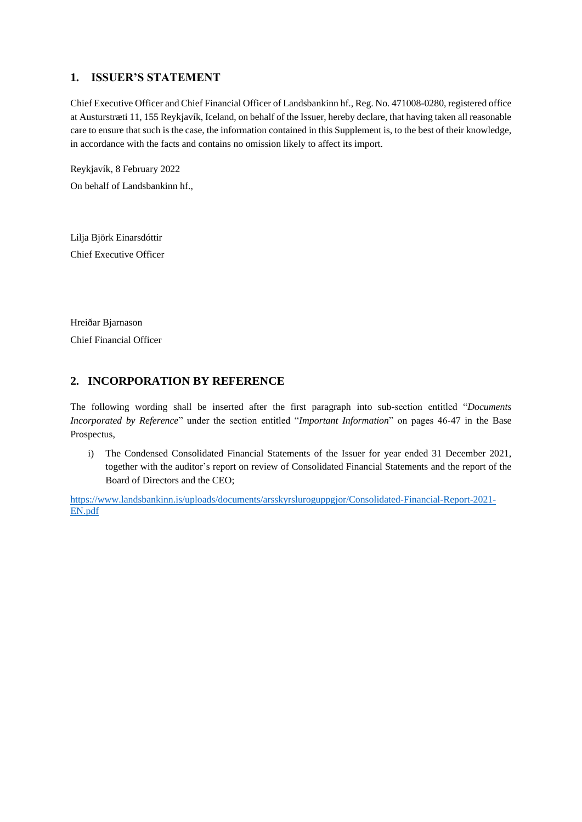## **1. ISSUER'S STATEMENT**

Chief Executive Officer and Chief Financial Officer of Landsbankinn hf., Reg. No. 471008-0280, registered office at Austurstræti 11, 155 Reykjavík, Iceland, on behalf of the Issuer, hereby declare, that having taken all reasonable care to ensure that such is the case, the information contained in this Supplement is, to the best of their knowledge, in accordance with the facts and contains no omission likely to affect its import.

Reykjavík, 8 February 2022 On behalf of Landsbankinn hf.,

Lilja Björk Einarsdóttir Chief Executive Officer

Hreiðar Bjarnason Chief Financial Officer

## **2. INCORPORATION BY REFERENCE**

The following wording shall be inserted after the first paragraph into sub-section entitled "*Documents Incorporated by Reference*" under the section entitled "*Important Information*" on pages 46-47 in the Base Prospectus,

i) The Condensed Consolidated Financial Statements of the Issuer for year ended 31 December 2021, together with the auditor's report on review of Consolidated Financial Statements and the report of the Board of Directors and the CEO;

[https://www.landsbankinn.is/uploads/documents/arsskyrsluroguppgjor/Consolidated-Financial-Report-2021-](https://www.landsbankinn.is/uploads/documents/arsskyrsluroguppgjor/Consolidated-Financial-Report-2021-EN.pdf) [EN.pdf](https://www.landsbankinn.is/uploads/documents/arsskyrsluroguppgjor/Consolidated-Financial-Report-2021-EN.pdf)